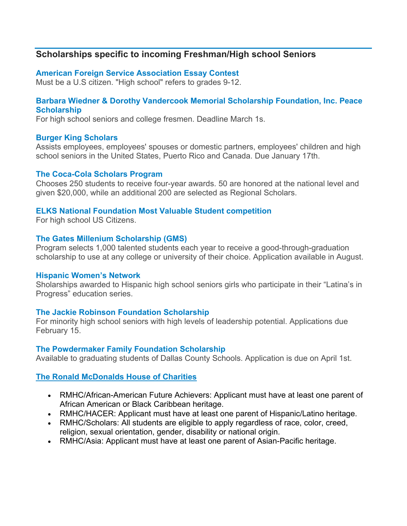# **Scholarships specific to incoming Freshman/High school Seniors**

# **[American Foreign Service Association Essay Contest](http://www.afsa.org/essay_contest.aspx)**

Must be a U.S citizen. "High school" refers to grades 9-12.

## **[Barbara Wiedner & Dorothy Vandercook Memorial Scholarship Foundation, Inc. Peace](http://peacescholarships.org/)  [Scholarship](http://peacescholarships.org/)**

For high school seniors and college fresmen. Deadline March 1s.

## **[Burger King Scholars](http://www.scholarshipamerica.org/burgerkingscholars/)**

Assists employees, employees' spouses or domestic partners, employees' children and high school seniors in the United States, Puerto Rico and Canada. Due January 17th.

#### **[The Coca-Cola Scholars Program](http://www.coca-colascholarsfoundation.org/applicants/#programs)**

Chooses 250 students to receive four-year awards. 50 are honored at the national level and given \$20,000, while an additional 200 are selected as Regional Scholars.

## **[ELKS National Foundation Most Valuable Student competition](http://www.elks.org/enf/scholars/mvs.cfm)**

For high school US Citizens.

#### **[The Gates Millenium Scholarship](http://www.gmsp.org/) (GMS)**

Program selects 1,000 talented students each year to receive a good-through-graduation scholarship to use at any college or university of their choice. Application available in August.

#### **[Hispanic Women's Network](http://hwnt.org/)**

Sholarships awarded to Hispanic high school seniors girls who participate in their "Latina's in Progress" education series.

## **[The Jackie Robinson Foundation Scholarship](http://www.jackierobinson.org/sitemap/)**

For minority high school seniors with high levels of leadership potential. Applications due February 15.

## **[The Powdermaker Family Foundation Scholarship](http://powdermaker.org/PFFApplication.pdf)**

Available to graduating students of Dallas County Schools. Application is due on April 1st.

## **[The Ronald McDonalds House of Charities](http://www.rmhc.org/rmhc-us-scholarships)**

- RMHC/African-American Future Achievers: Applicant must have at least one parent of African American or Black Caribbean heritage.
- RMHC/HACER: Applicant must have at least one parent of Hispanic/Latino heritage.
- RMHC/Scholars: All students are eligible to apply regardless of race, color, creed, religion, sexual orientation, gender, disability or national origin.
- RMHC/Asia: Applicant must have at least one parent of Asian-Pacific heritage.